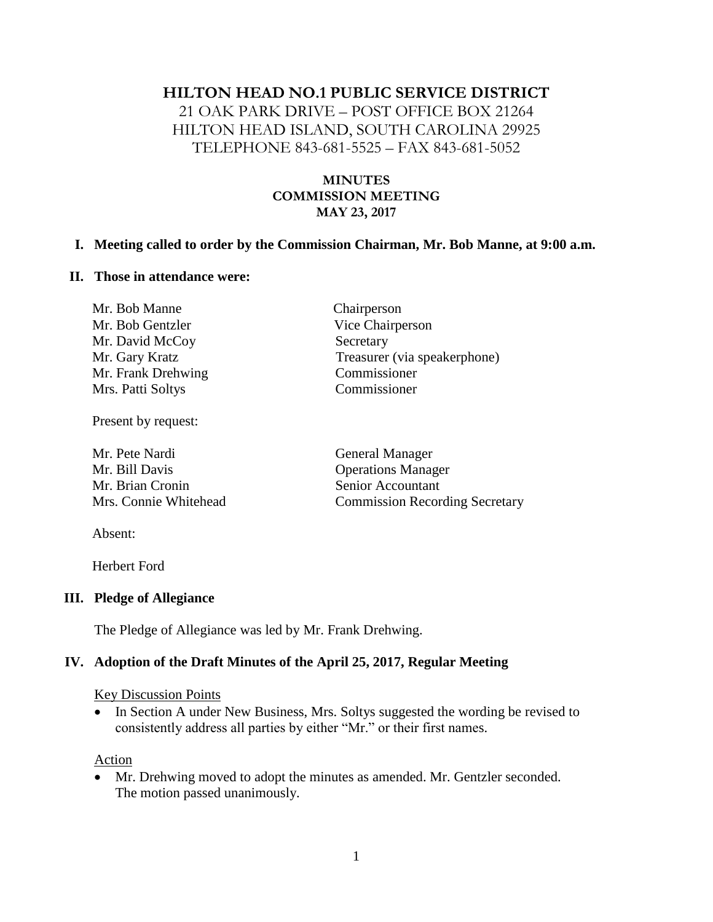### **HILTON HEAD NO.1 PUBLIC SERVICE DISTRICT**

21 OAK PARK DRIVE – POST OFFICE BOX 21264 HILTON HEAD ISLAND, SOUTH CAROLINA 29925 TELEPHONE 843-681-5525 – FAX 843-681-5052

### **MINUTES COMMISSION MEETING MAY 23, 2017**

#### **I. Meeting called to order by the Commission Chairman, Mr. Bob Manne, at 9:00 a.m.**

#### **II. Those in attendance were:**

| Mr. Bob Manne      | Chairperson                  |
|--------------------|------------------------------|
| Mr. Bob Gentzler   | Vice Chairperson             |
| Mr. David McCoy    | Secretary                    |
| Mr. Gary Kratz     | Treasurer (via speakerphone) |
| Mr. Frank Drehwing | Commissioner                 |
| Mrs. Patti Soltys  | Commissioner                 |
|                    |                              |

Present by request:

Mr. Pete Nardi General Manager Mr. Bill Davis Operations Manager Mr. Brian Cronin Senior Accountant

Mrs. Connie Whitehead Commission Recording Secretary

Absent:

Herbert Ford

#### **III. Pledge of Allegiance**

The Pledge of Allegiance was led by Mr. Frank Drehwing.

### **IV. Adoption of the Draft Minutes of the April 25, 2017, Regular Meeting**

#### Key Discussion Points

• In Section A under New Business, Mrs. Soltys suggested the wording be revised to consistently address all parties by either "Mr." or their first names.

Action

• Mr. Drehwing moved to adopt the minutes as amended. Mr. Gentzler seconded. The motion passed unanimously.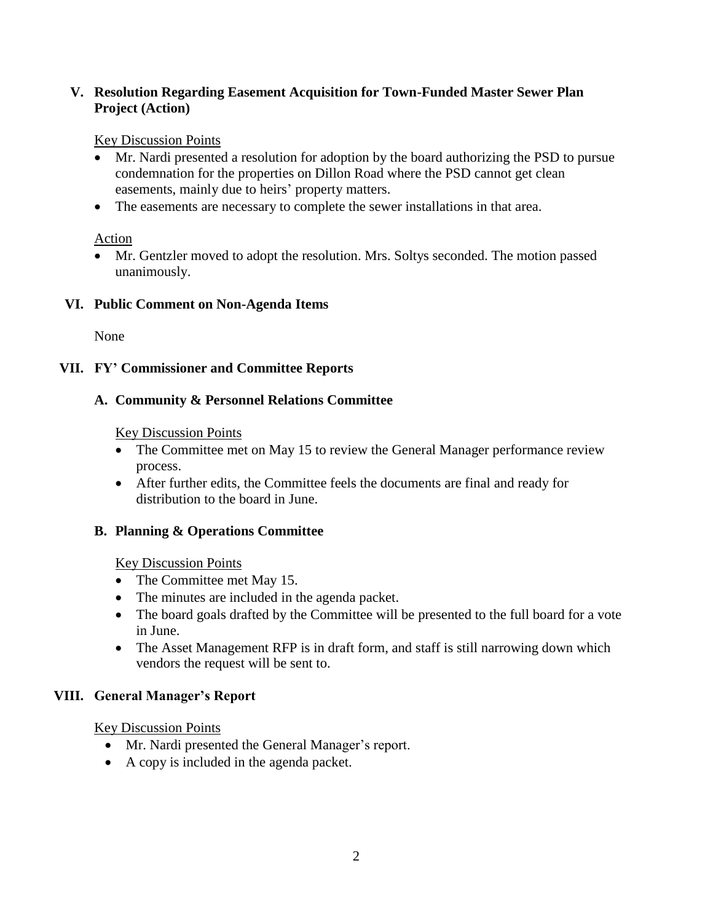## **V. Resolution Regarding Easement Acquisition for Town-Funded Master Sewer Plan Project (Action)**

## Key Discussion Points

- Mr. Nardi presented a resolution for adoption by the board authorizing the PSD to pursue condemnation for the properties on Dillon Road where the PSD cannot get clean easements, mainly due to heirs' property matters.
- The easements are necessary to complete the sewer installations in that area.

# Action

• Mr. Gentzler moved to adopt the resolution. Mrs. Soltys seconded. The motion passed unanimously.

# **VI. Public Comment on Non-Agenda Items**

None

# **VII. FY' Commissioner and Committee Reports**

# **A. Community & Personnel Relations Committee**

## Key Discussion Points

- The Committee met on May 15 to review the General Manager performance review process.
- After further edits, the Committee feels the documents are final and ready for distribution to the board in June.

# **B. Planning & Operations Committee**

## Key Discussion Points

- The Committee met May 15.
- The minutes are included in the agenda packet.
- The board goals drafted by the Committee will be presented to the full board for a vote in June.
- The Asset Management RFP is in draft form, and staff is still narrowing down which vendors the request will be sent to.

# **VIII. General Manager's Report**

Key Discussion Points

- Mr. Nardi presented the General Manager's report.
- A copy is included in the agenda packet.